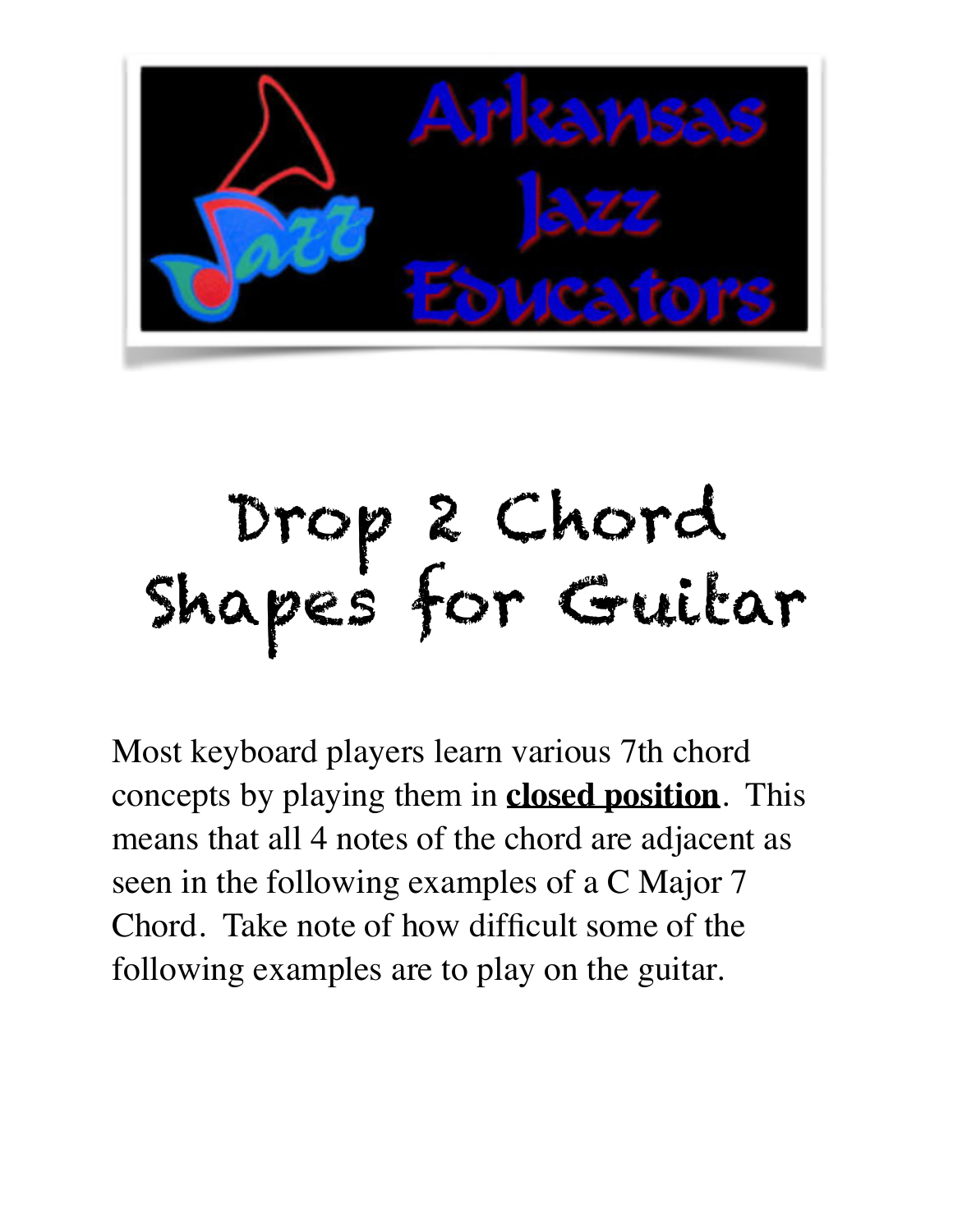

# Drop 2 Chord Shapes for Guitar

Most keyboard players learn various 7th chord concepts by playing them in **closed position**. This means that all 4 notes of the chord are adjacent as seen in the following examples of a C Major 7 Chord. Take note of how difficult some of the following examples are to play on the guitar.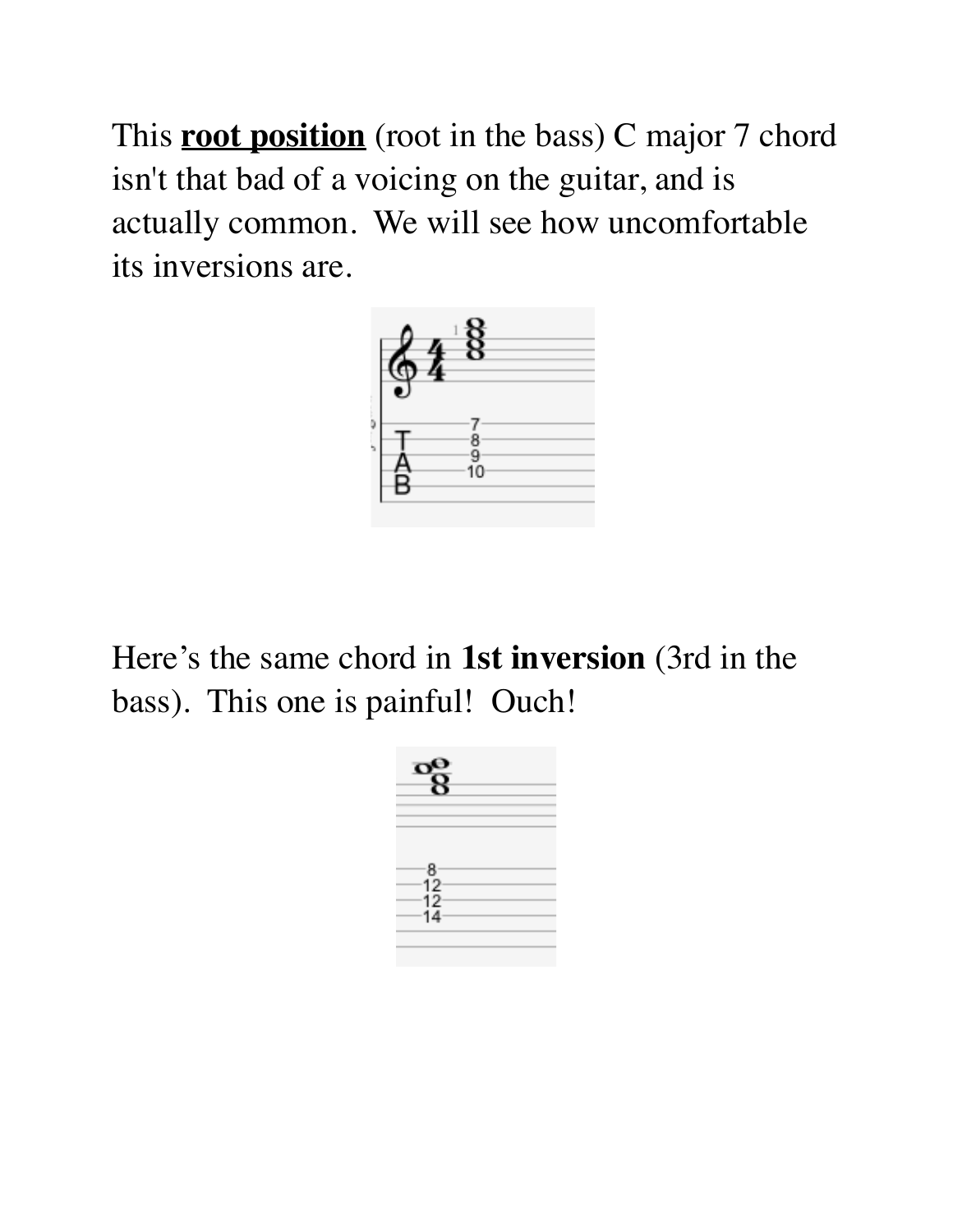This **root position** (root in the bass) C major 7 chord isn't that bad of a voicing on the guitar, and is actually common. We will see how uncomfortable its inversions are.



Here's the same chord in **1st inversion** (3rd in the bass). This one is painful! Ouch!

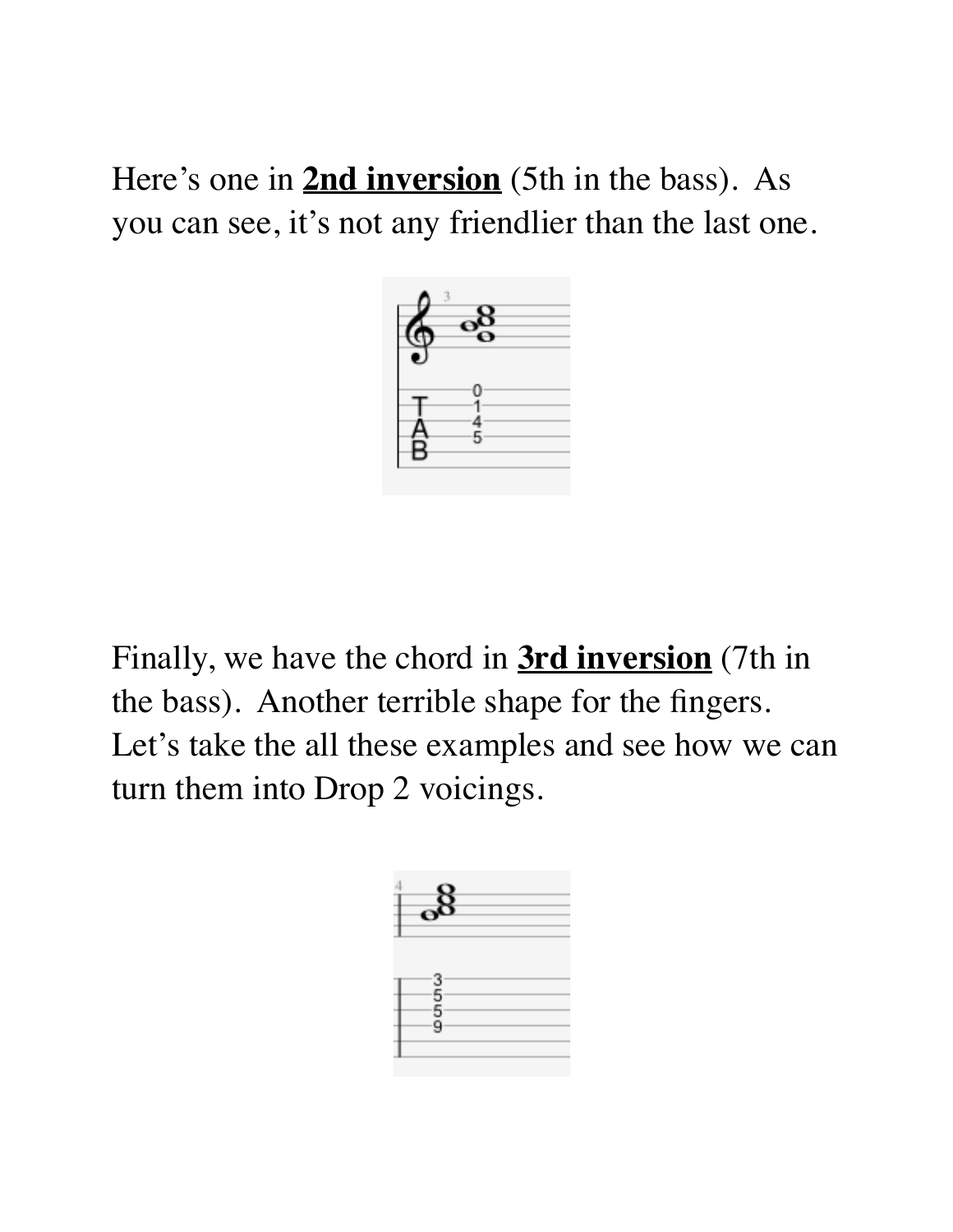Here's one in **2nd inversion** (5th in the bass). As you can see, it's not any friendlier than the last one.



Finally, we have the chord in **3rd inversion** (7th in the bass). Another terrible shape for the fingers. Let's take the all these examples and see how we can turn them into Drop 2 voicings.

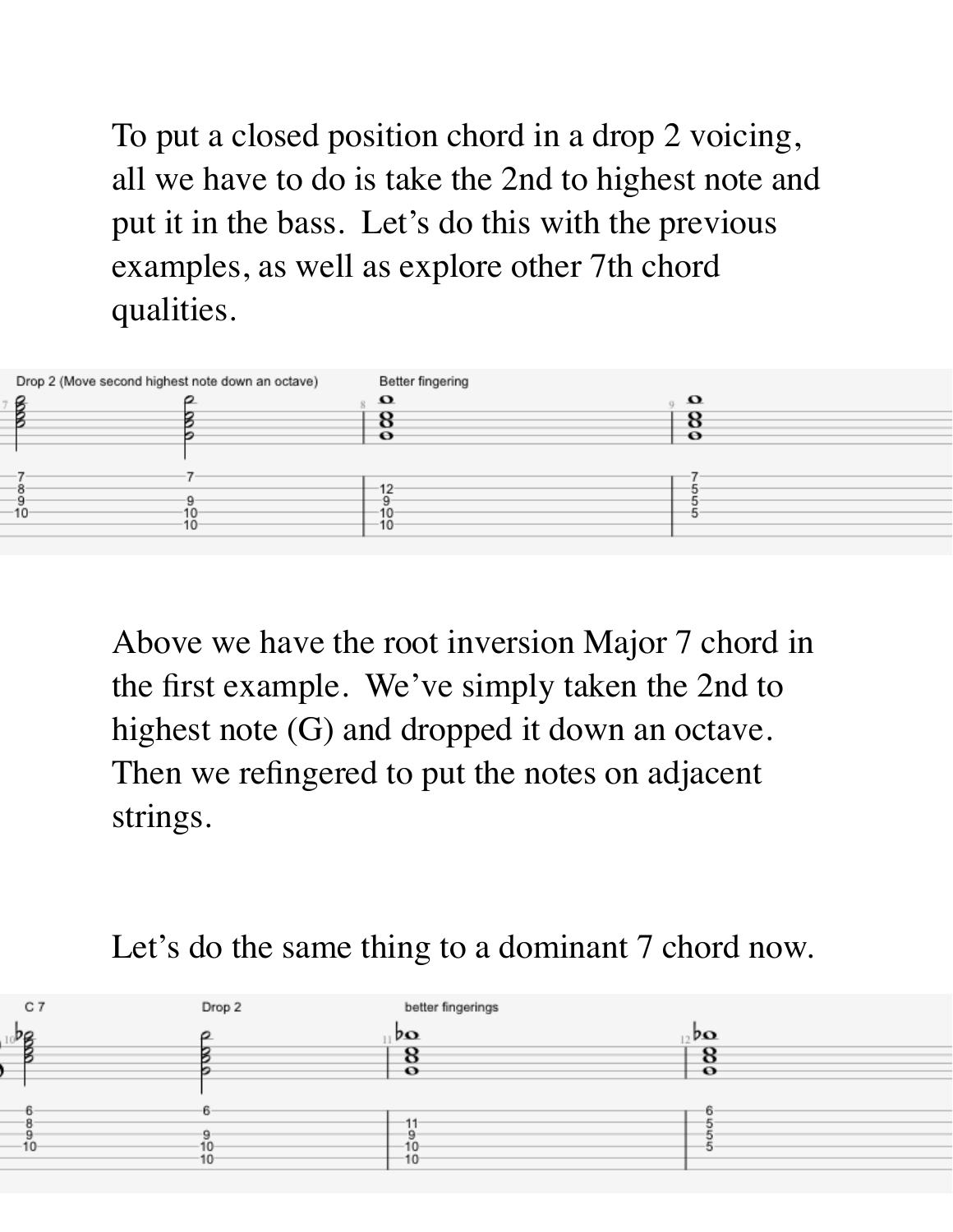To put a closed position chord in a drop 2 voicing, all we have to do is take the 2nd to highest note and put it in the bass. Let's do this with the previous examples, as well as explore other 7th chord qualities.

| Drop 2 (Move second highest note down an octave) |    | Better fingering  |  |
|--------------------------------------------------|----|-------------------|--|
|                                                  |    | $\mathbf{\Omega}$ |  |
|                                                  |    |                   |  |
|                                                  |    | $\mathbf o$       |  |
|                                                  |    |                   |  |
|                                                  |    |                   |  |
|                                                  |    | 12                |  |
| 10                                               |    |                   |  |
|                                                  | 10 | 10                |  |

Above we have the root inversion Major 7 chord in the first example. We've simply taken the 2nd to highest note (G) and dropped it down an octave. Then we refingered to put the notes on adjacent strings.

#### Let's do the same thing to a dominant 7 chord now.

| C <sub>7</sub>  | Drop 2 | better fingerings                  |                                 |
|-----------------|--------|------------------------------------|---------------------------------|
| ാഭ              |        | $p_{\mathbf{O}}$                   | $_{12}$ d $\boldsymbol{\Omega}$ |
|                 |        | О<br>$\bullet$                     | O<br>$\bullet$                  |
|                 |        |                                    |                                 |
|                 | r.     |                                    |                                 |
| 10 <sup>°</sup> | $10-$  | 10 <sub>1</sub><br>10 <sup>°</sup> |                                 |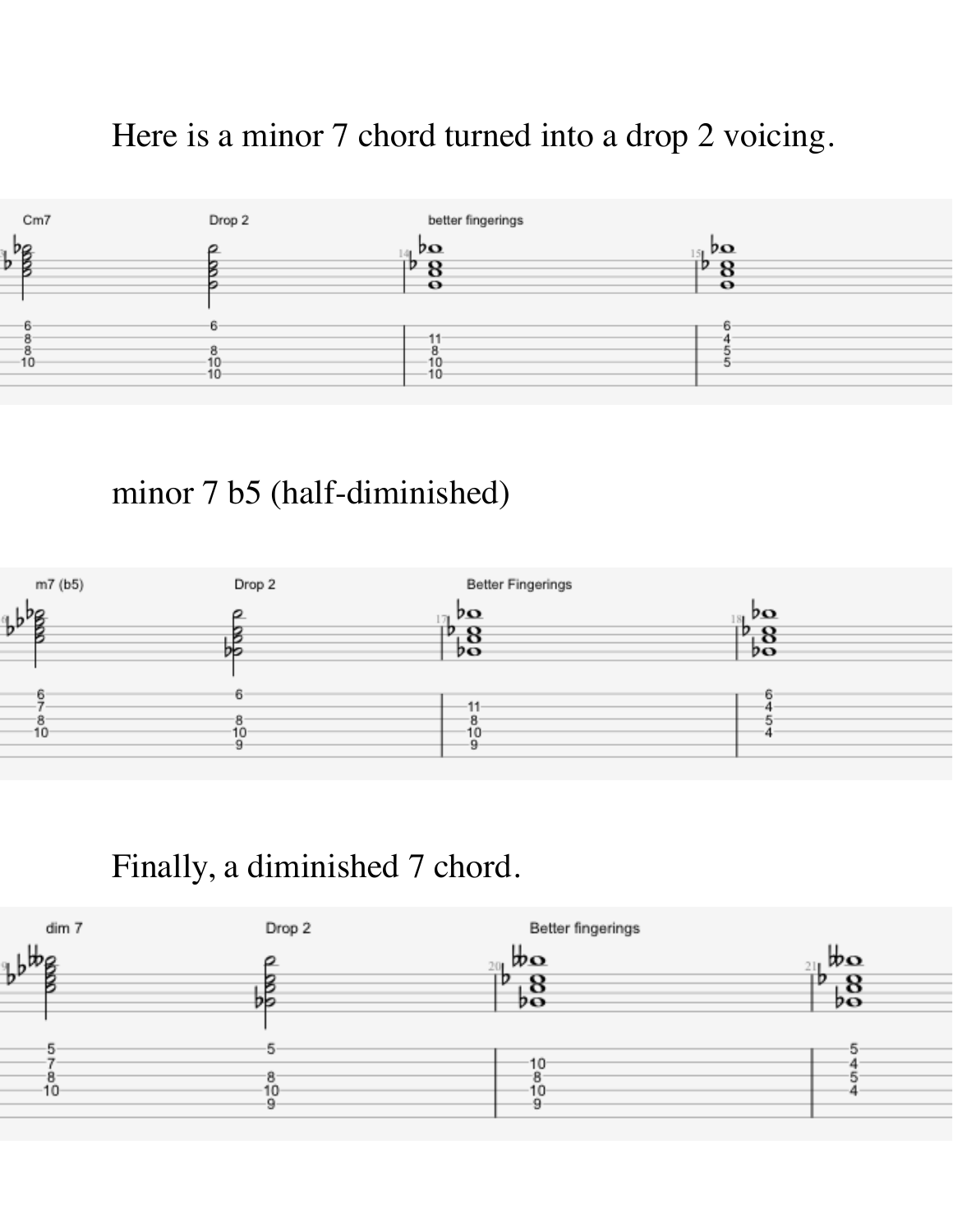### Here is a minor 7 chord turned into a drop 2 voicing.



#### minor 7 b5 (half-diminished)



#### Finally, a diminished 7 chord.

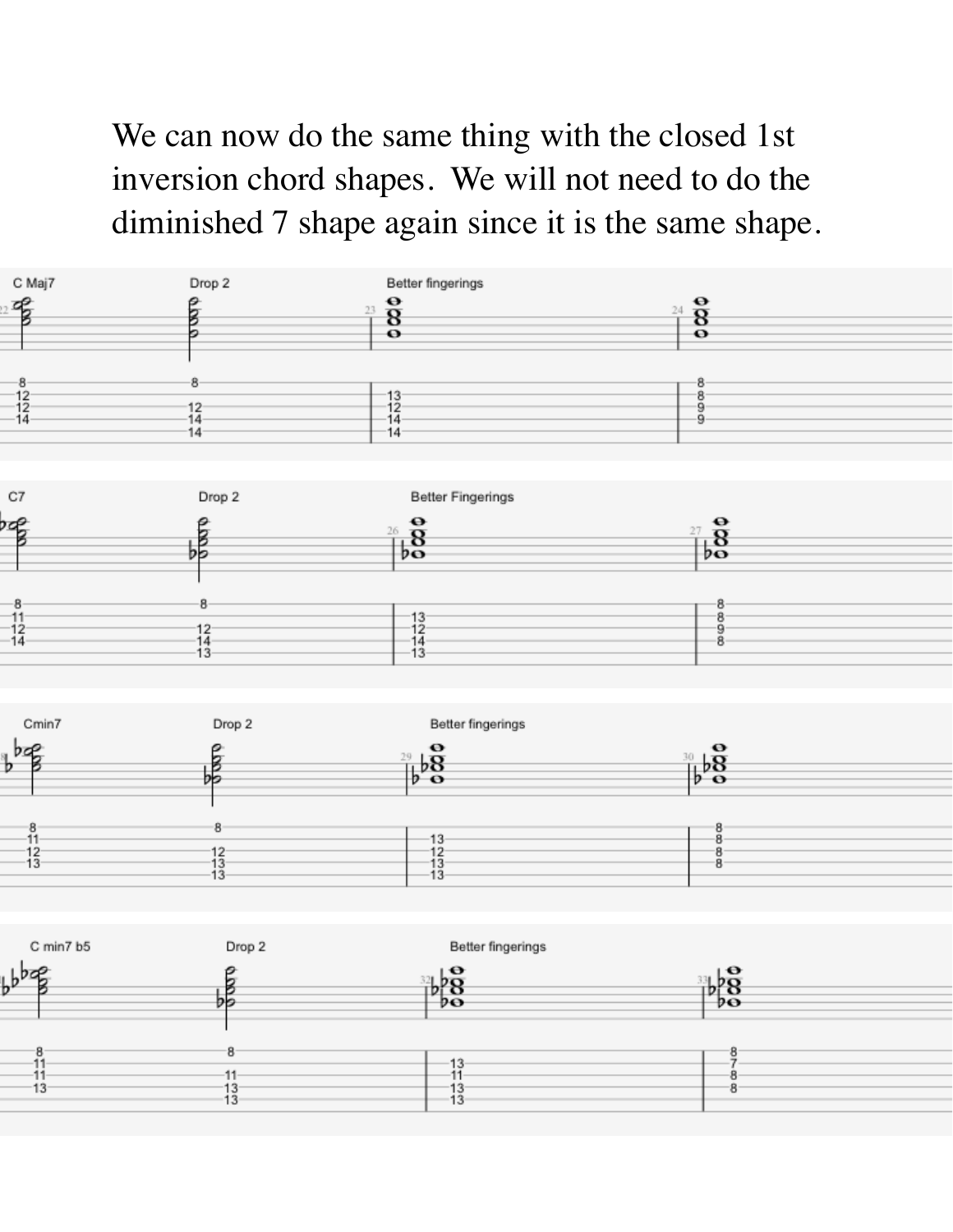We can now do the same thing with the closed 1st inversion chord shapes. We will not need to do the diminished 7 shape again since it is the same shape.

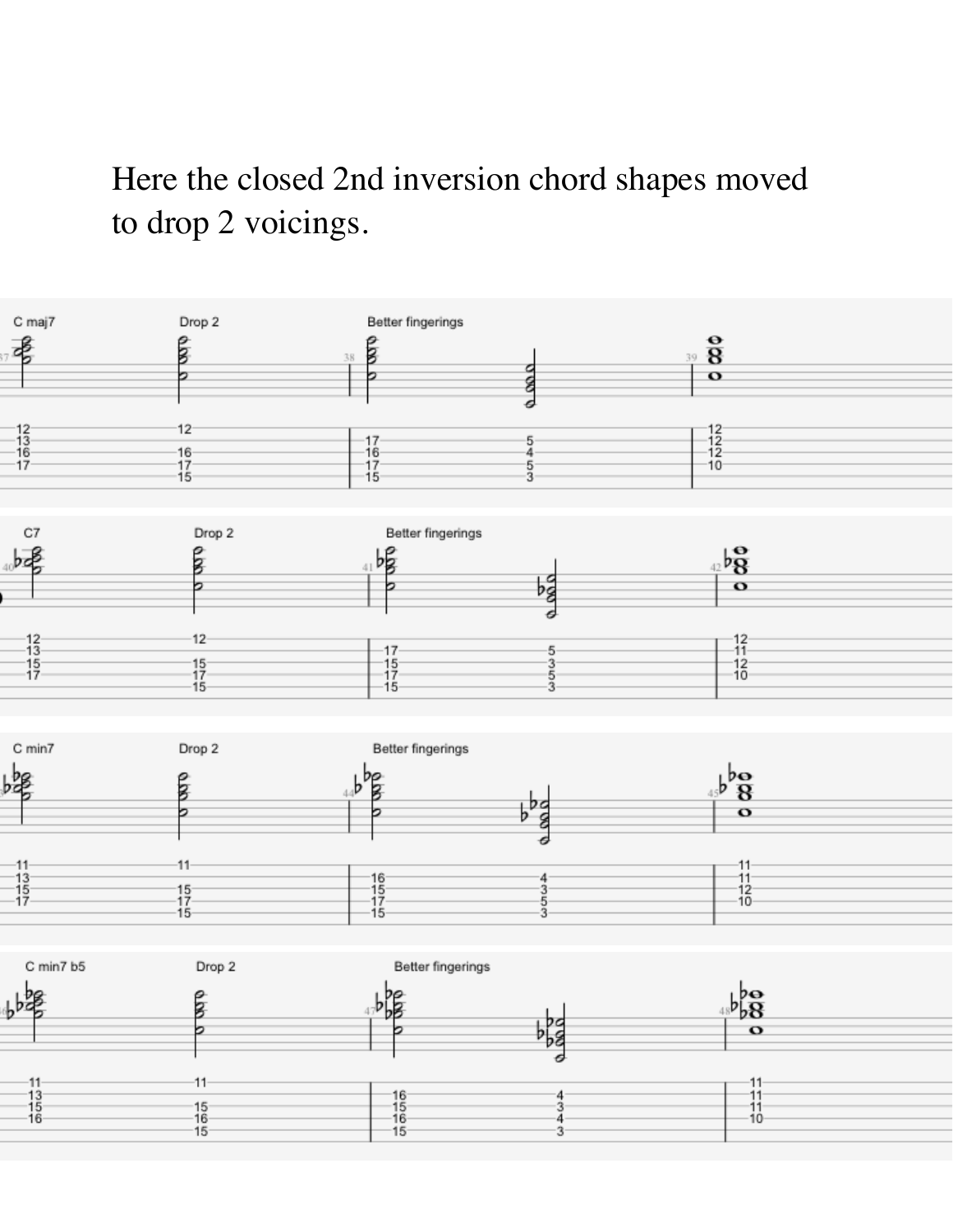Here the closed 2nd inversion chord shapes moved to drop 2 voicings.



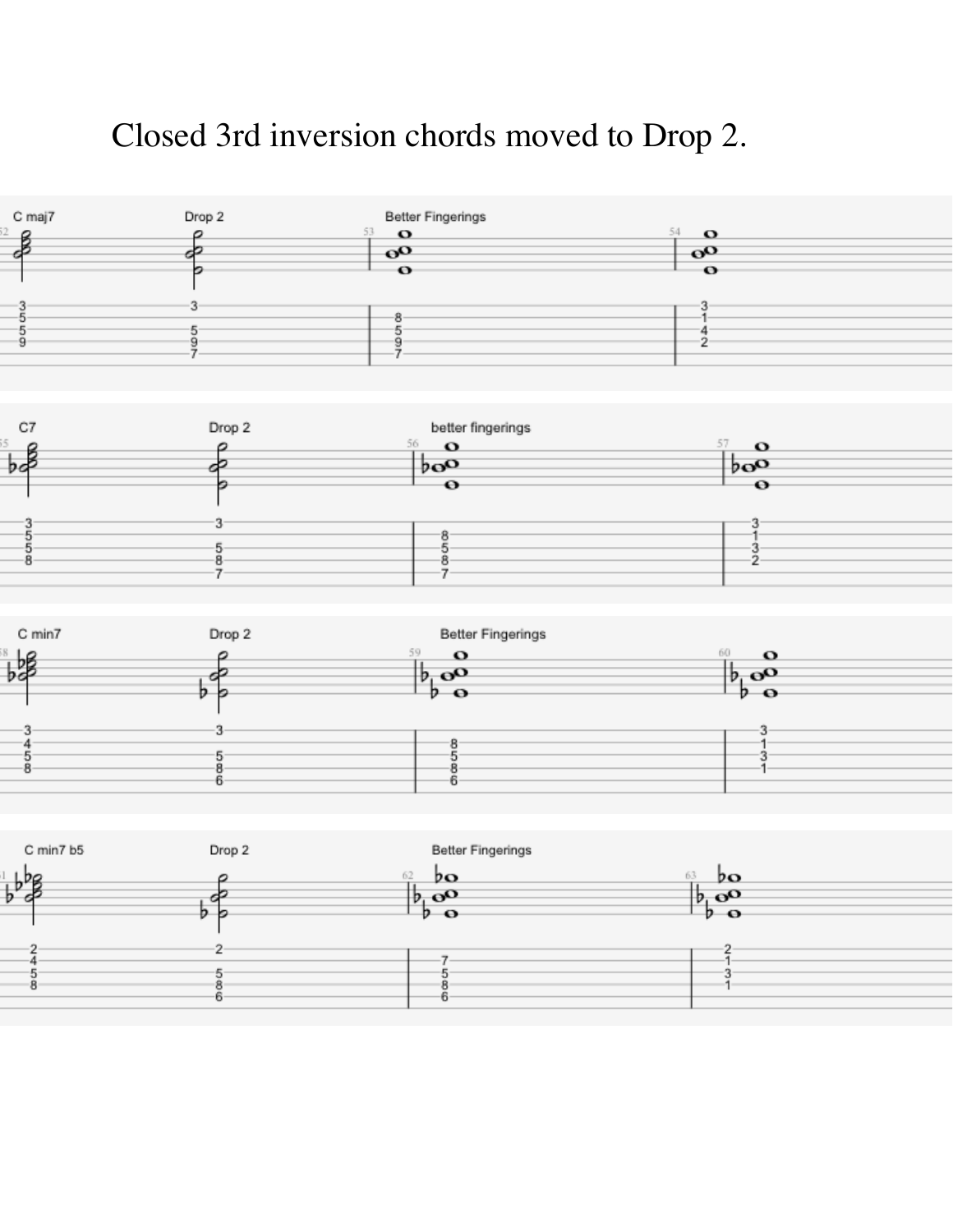## Closed 3rd inversion chords moved to Drop 2.







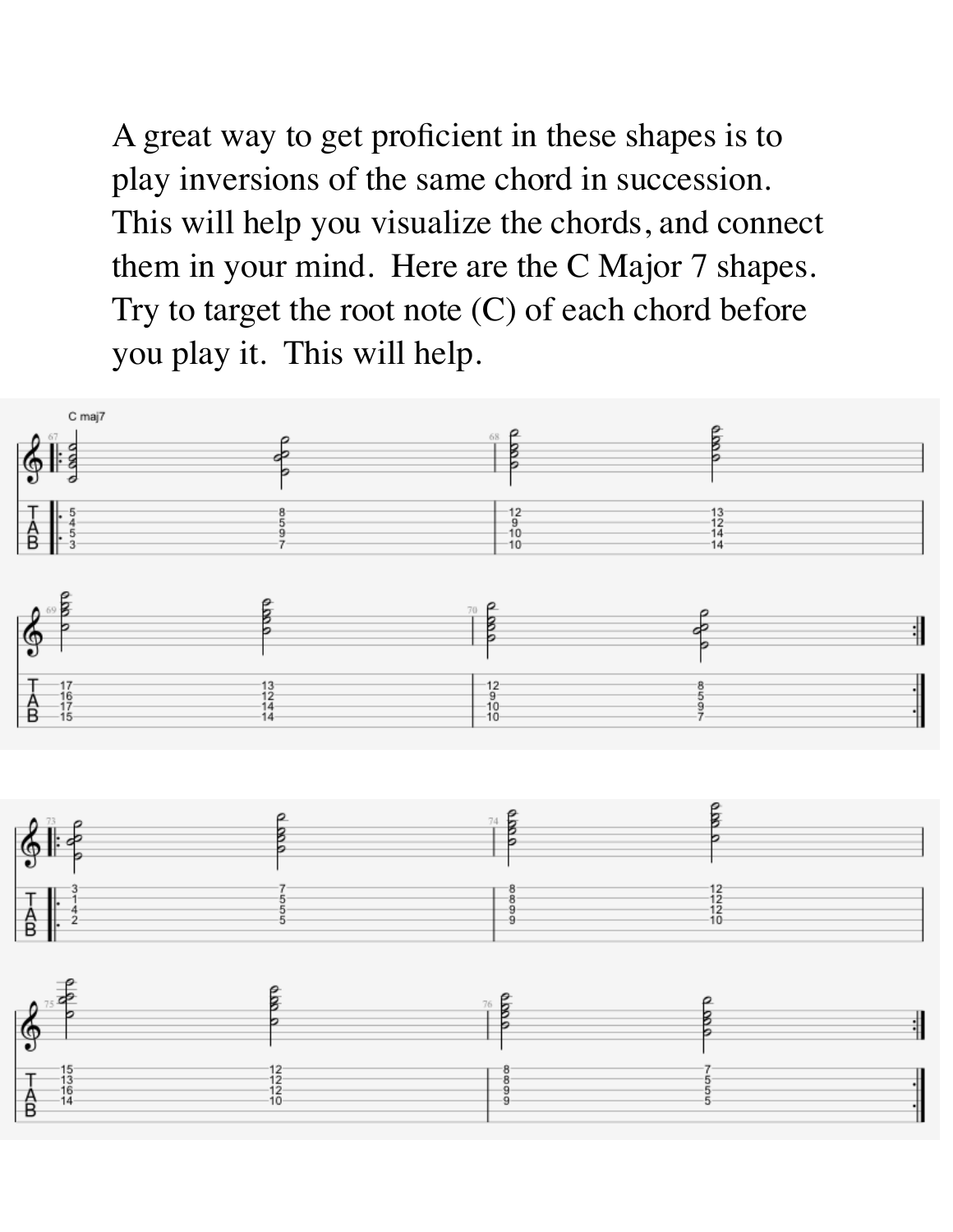A great way to get proficient in these shapes is to play inversions of the same chord in succession. This will help you visualize the chords, and connect them in your mind. Here are the C Major 7 shapes. Try to target the root note (C) of each chord before you play it. This will help.

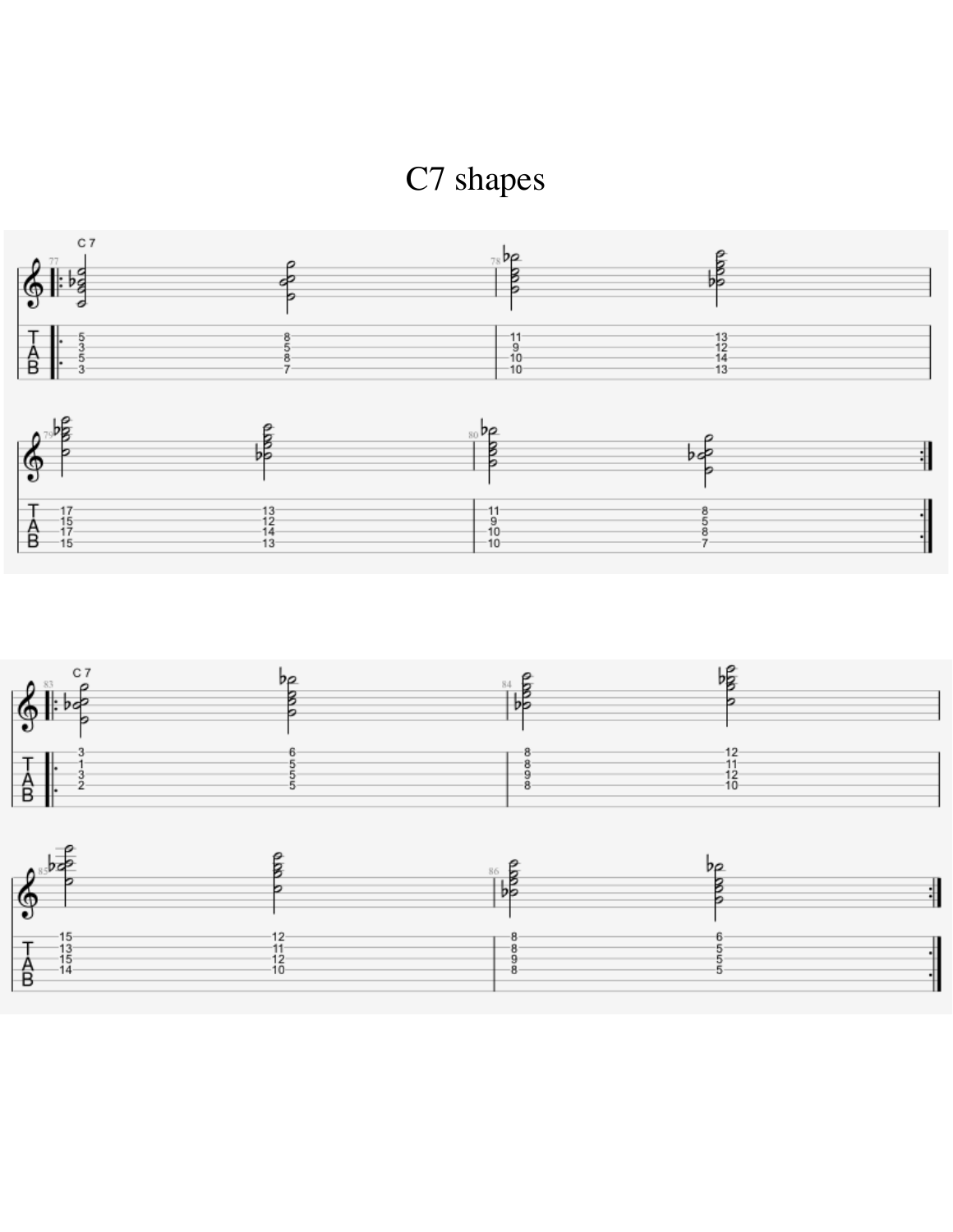





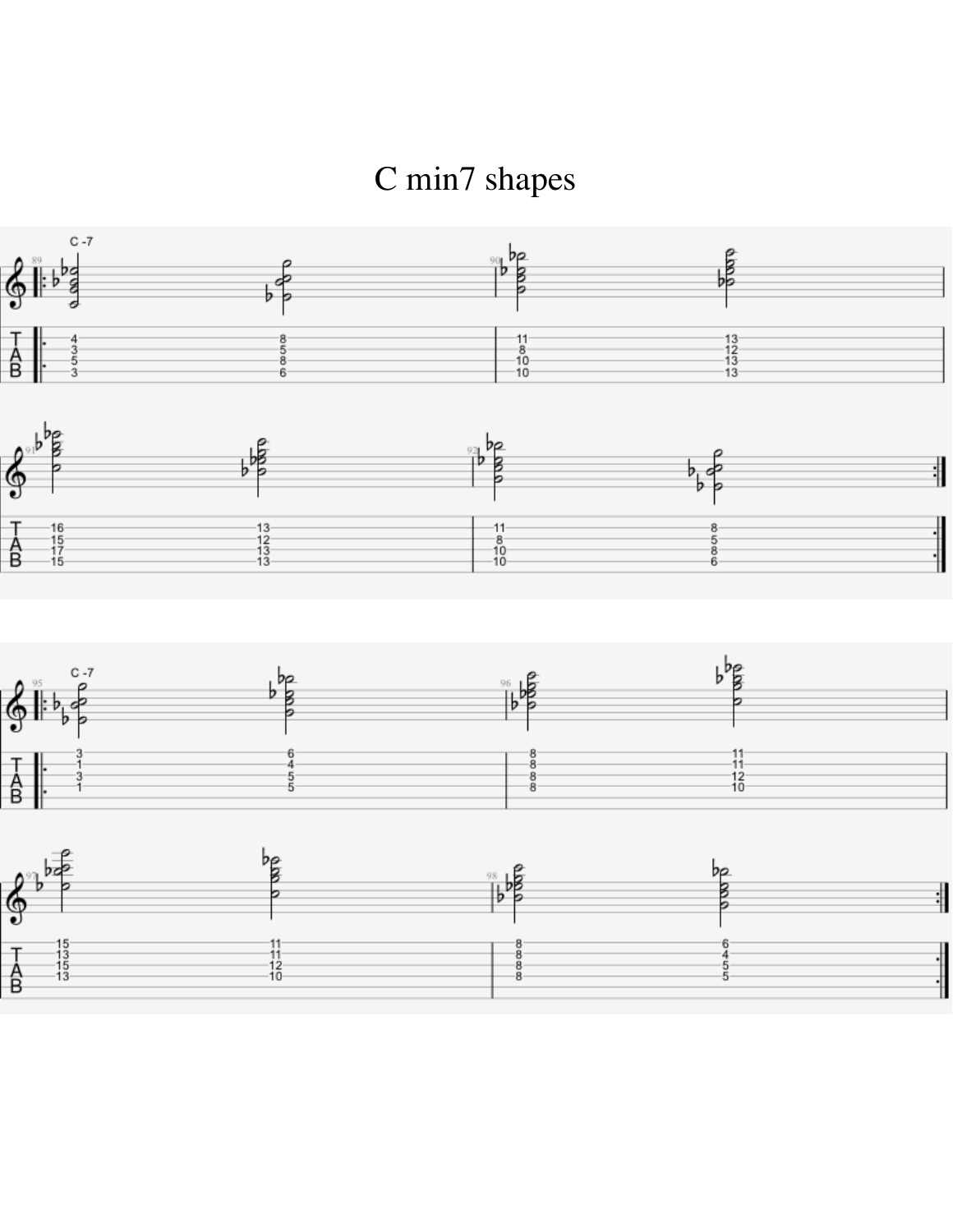C min7 shapes





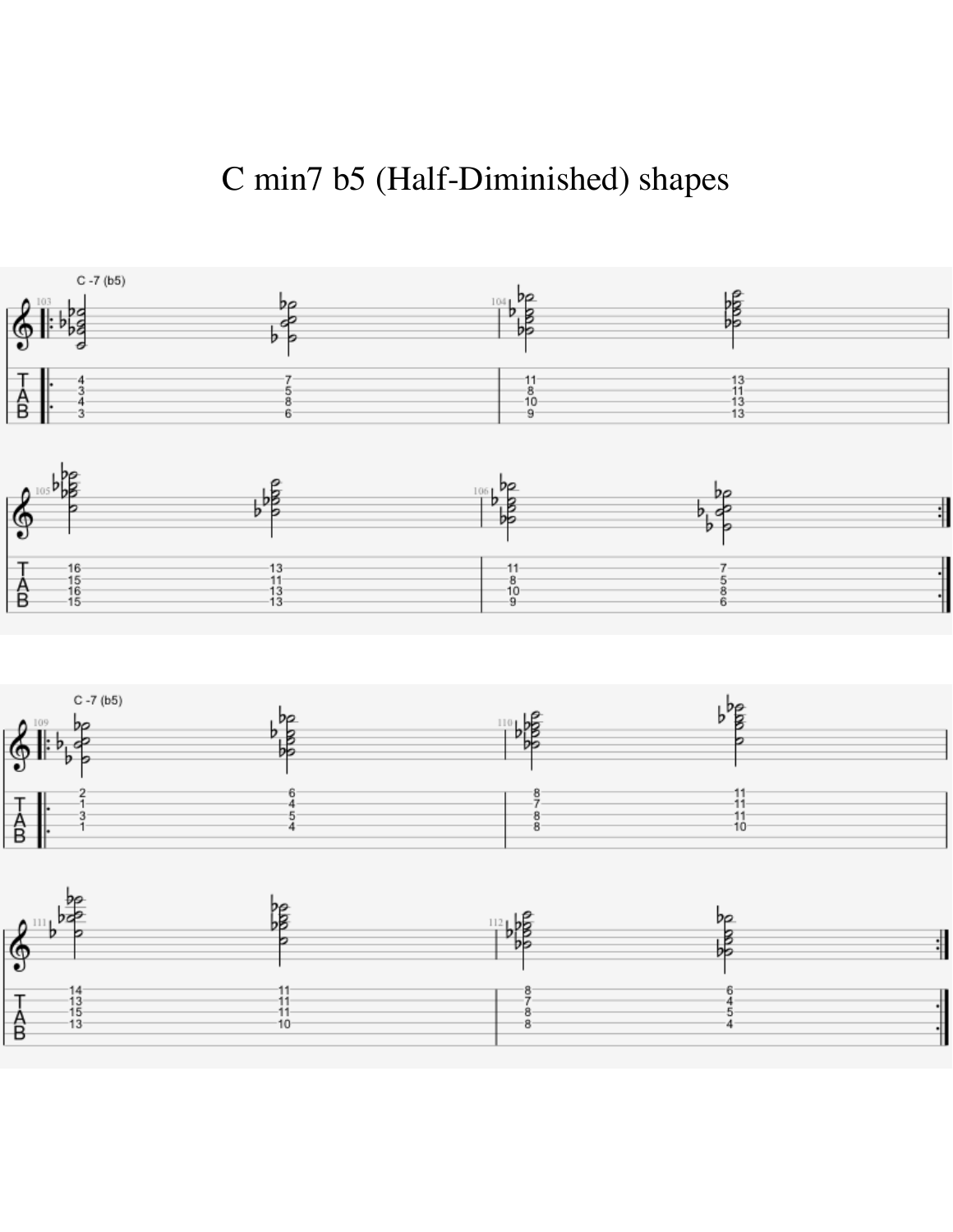### C min7 b5 (Half-Diminished) shapes





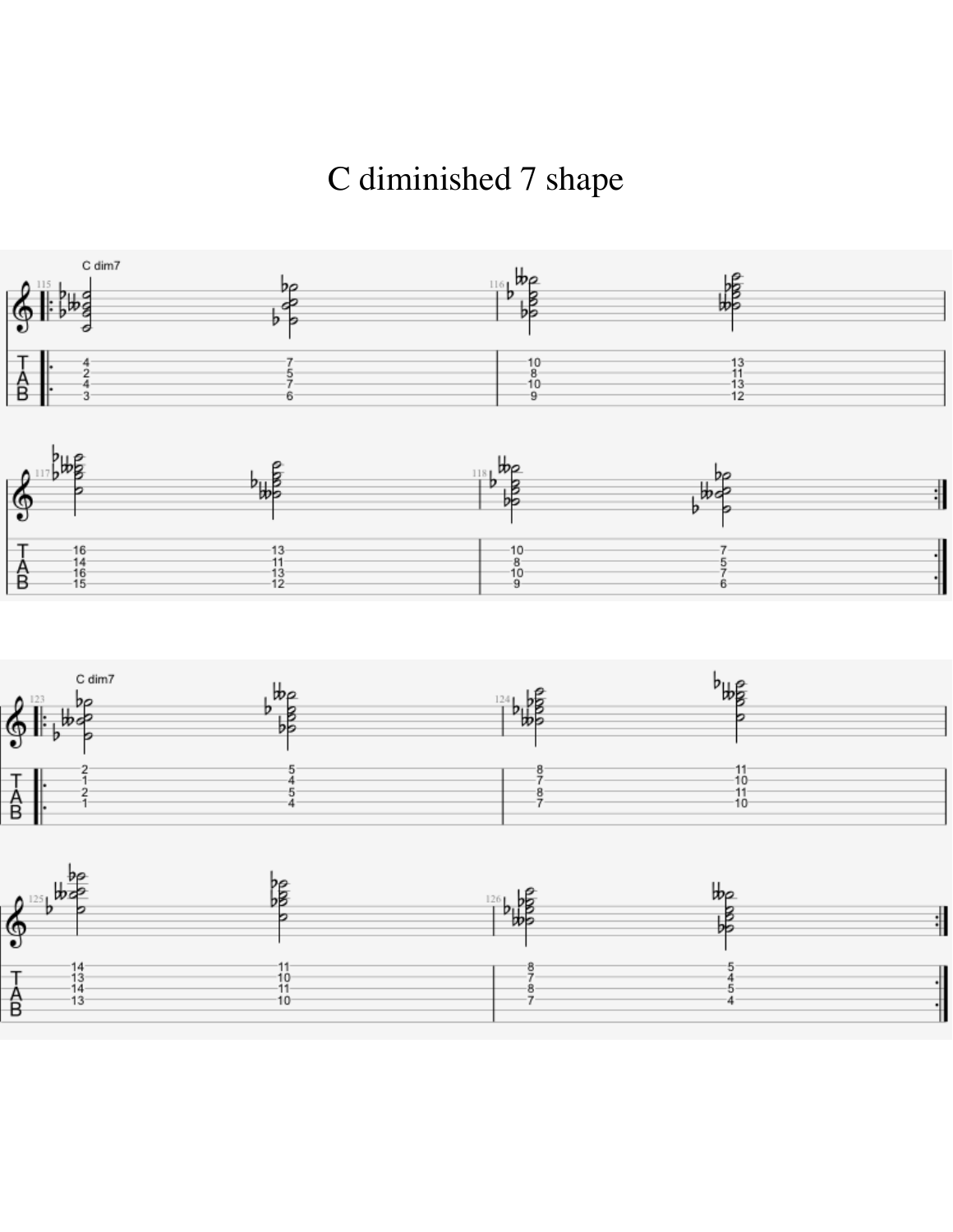C diminished 7 shape







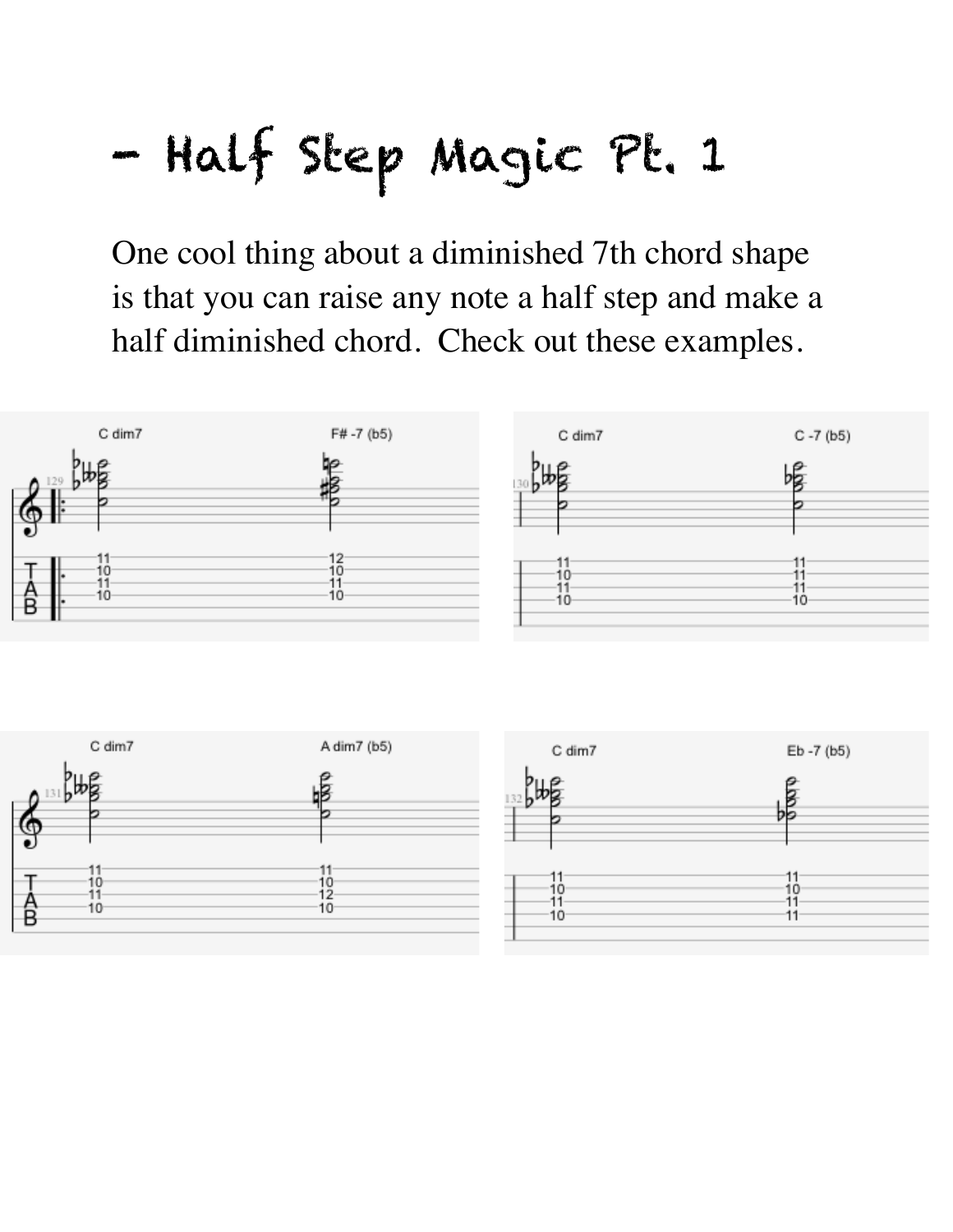# - Half Step Magic Pt. 1

One cool thing about a diminished 7th chord shape is that you can raise any note a half step and make a half diminished chord. Check out these examples.